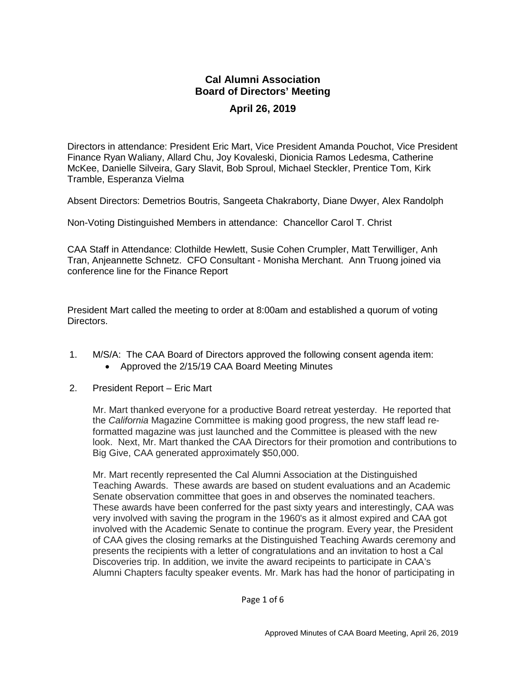## **Cal Alumni Association Board of Directors' Meeting April 26, 2019**

Directors in attendance: President Eric Mart, Vice President Amanda Pouchot, Vice President Finance Ryan Waliany, Allard Chu, Joy Kovaleski, Dionicia Ramos Ledesma, Catherine McKee, Danielle Silveira, Gary Slavit, Bob Sproul, Michael Steckler, Prentice Tom, Kirk Tramble, Esperanza Vielma

Absent Directors: Demetrios Boutris, Sangeeta Chakraborty, Diane Dwyer, Alex Randolph

Non-Voting Distinguished Members in attendance: Chancellor Carol T. Christ

CAA Staff in Attendance: Clothilde Hewlett, Susie Cohen Crumpler, Matt Terwilliger, Anh Tran, Anjeannette Schnetz. CFO Consultant - Monisha Merchant. Ann Truong joined via conference line for the Finance Report

President Mart called the meeting to order at 8:00am and established a quorum of voting Directors.

- 1. M/S/A: The CAA Board of Directors approved the following consent agenda item: • Approved the 2/15/19 CAA Board Meeting Minutes
- 2. President Report Eric Mart

Mr. Mart thanked everyone for a productive Board retreat yesterday. He reported that the *California* Magazine Committee is making good progress, the new staff lead reformatted magazine was just launched and the Committee is pleased with the new look. Next, Mr. Mart thanked the CAA Directors for their promotion and contributions to Big Give, CAA generated approximately \$50,000.

Mr. Mart recently represented the Cal Alumni Association at the Distinguished Teaching Awards. These awards are based on student evaluations and an Academic Senate observation committee that goes in and observes the nominated teachers. These awards have been conferred for the past sixty years and interestingly, CAA was very involved with saving the program in the 1960's as it almost expired and CAA got involved with the Academic Senate to continue the program. Every year, the President of CAA gives the closing remarks at the Distinguished Teaching Awards ceremony and presents the recipients with a letter of congratulations and an invitation to host a Cal Discoveries trip. In addition, we invite the award recipeints to participate in CAA's Alumni Chapters faculty speaker events. Mr. Mark has had the honor of participating in

Page 1 of 6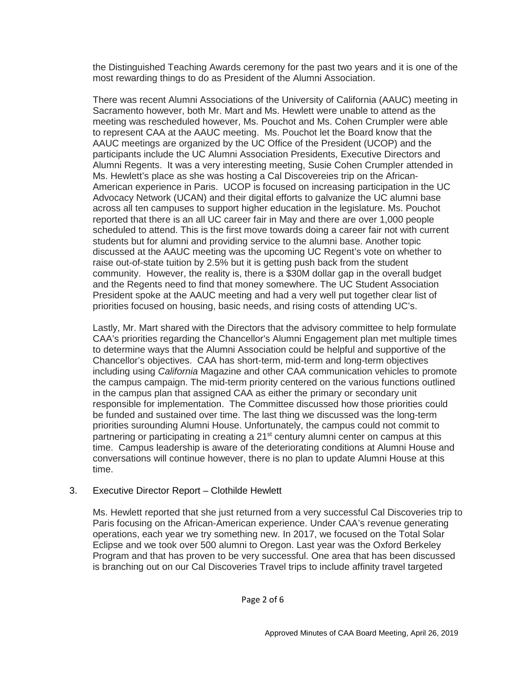the Distinguished Teaching Awards ceremony for the past two years and it is one of the most rewarding things to do as President of the Alumni Association.

There was recent Alumni Associations of the University of California (AAUC) meeting in Sacramento however, both Mr. Mart and Ms. Hewlett were unable to attend as the meeting was rescheduled however, Ms. Pouchot and Ms. Cohen Crumpler were able to represent CAA at the AAUC meeting. Ms. Pouchot let the Board know that the AAUC meetings are organized by the UC Office of the President (UCOP) and the participants include the UC Alumni Association Presidents, Executive Directors and Alumni Regents. It was a very interesting meeting, Susie Cohen Crumpler attended in Ms. Hewlett's place as she was hosting a Cal Discovereies trip on the African-American experience in Paris. UCOP is focused on increasing participation in the UC Advocacy Network (UCAN) and their digital efforts to galvanize the UC alumni base across all ten campuses to support higher education in the legislature. Ms. Pouchot reported that there is an all UC career fair in May and there are over 1,000 people scheduled to attend. This is the first move towards doing a career fair not with current students but for alumni and providing service to the alumni base. Another topic discussed at the AAUC meeting was the upcoming UC Regent's vote on whether to raise out-of-state tuition by 2.5% but it is getting push back from the student community. However, the reality is, there is a \$30M dollar gap in the overall budget and the Regents need to find that money somewhere. The UC Student Association President spoke at the AAUC meeting and had a very well put together clear list of priorities focused on housing, basic needs, and rising costs of attending UC's.

Lastly, Mr. Mart shared with the Directors that the advisory committee to help formulate CAA's priorities regarding the Chancellor's Alumni Engagement plan met multiple times to determine ways that the Alumni Association could be helpful and supportive of the Chancellor's objectives. CAA has short-term, mid-term and long-term objectives including using *California* Magazine and other CAA communication vehicles to promote the campus campaign. The mid-term priority centered on the various functions outlined in the campus plan that assigned CAA as either the primary or secondary unit responsible for implementation. The Committee discussed how those priorities could be funded and sustained over time. The last thing we discussed was the long-term priorities surounding Alumni House. Unfortunately, the campus could not commit to partnering or participating in creating a  $21<sup>st</sup>$  century alumni center on campus at this time. Campus leadership is aware of the deteriorating conditions at Alumni House and conversations will continue however, there is no plan to update Alumni House at this time.

## 3. Executive Director Report – Clothilde Hewlett

Ms. Hewlett reported that she just returned from a very successful Cal Discoveries trip to Paris focusing on the African-American experience. Under CAA's revenue generating operations, each year we try something new. In 2017, we focused on the Total Solar Eclipse and we took over 500 alumni to Oregon. Last year was the Oxford Berkeley Program and that has proven to be very successful. One area that has been discussed is branching out on our Cal Discoveries Travel trips to include affinity travel targeted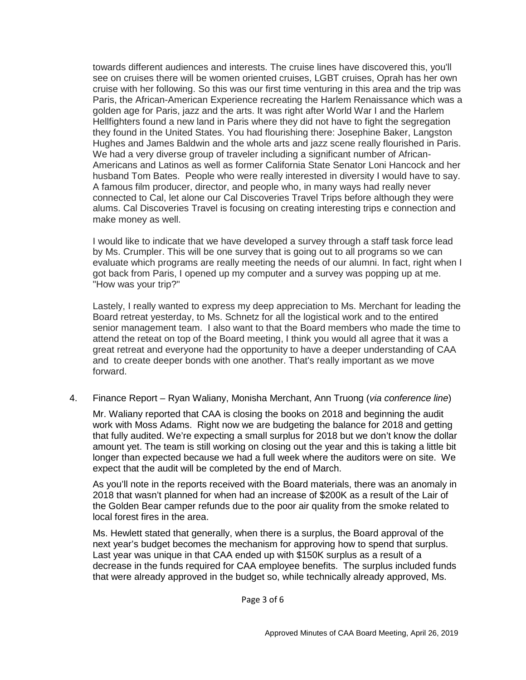towards different audiences and interests. The cruise lines have discovered this, you'll see on cruises there will be women oriented cruises, LGBT cruises, Oprah has her own cruise with her following. So this was our first time venturing in this area and the trip was Paris, the African-American Experience recreating the Harlem Renaissance which was a golden age for Paris, jazz and the arts. It was right after World War I and the Harlem Hellfighters found a new land in Paris where they did not have to fight the segregation they found in the United States. You had flourishing there: Josephine Baker, Langston Hughes and James Baldwin and the whole arts and jazz scene really flourished in Paris. We had a very diverse group of traveler including a significant number of African-Americans and Latinos as well as former California State Senator Loni Hancock and her husband Tom Bates. People who were really interested in diversity I would have to say. A famous film producer, director, and people who, in many ways had really never connected to Cal, let alone our Cal Discoveries Travel Trips before although they were alums. Cal Discoveries Travel is focusing on creating interesting trips e connection and make money as well.

I would like to indicate that we have developed a survey through a staff task force lead by Ms. Crumpler. This will be one survey that is going out to all programs so we can evaluate which programs are really meeting the needs of our alumni. In fact, right when I got back from Paris, I opened up my computer and a survey was popping up at me. "How was your trip?"

Lastely, I really wanted to express my deep appreciation to Ms. Merchant for leading the Board retreat yesterday, to Ms. Schnetz for all the logistical work and to the entired senior management team. I also want to that the Board members who made the time to attend the reteat on top of the Board meeting, I think you would all agree that it was a great retreat and everyone had the opportunity to have a deeper understanding of CAA and to create deeper bonds with one another. That's really important as we move forward.

4. Finance Report – Ryan Waliany, Monisha Merchant, Ann Truong (*via conference line*)

Mr. Waliany reported that CAA is closing the books on 2018 and beginning the audit work with Moss Adams. Right now we are budgeting the balance for 2018 and getting that fully audited. We're expecting a small surplus for 2018 but we don't know the dollar amount yet. The team is still working on closing out the year and this is taking a little bit longer than expected because we had a full week where the auditors were on site. We expect that the audit will be completed by the end of March.

As you'll note in the reports received with the Board materials, there was an anomaly in 2018 that wasn't planned for when had an increase of \$200K as a result of the Lair of the Golden Bear camper refunds due to the poor air quality from the smoke related to local forest fires in the area.

Ms. Hewlett stated that generally, when there is a surplus, the Board approval of the next year's budget becomes the mechanism for approving how to spend that surplus. Last year was unique in that CAA ended up with \$150K surplus as a result of a decrease in the funds required for CAA employee benefits. The surplus included funds that were already approved in the budget so, while technically already approved, Ms.

Page 3 of 6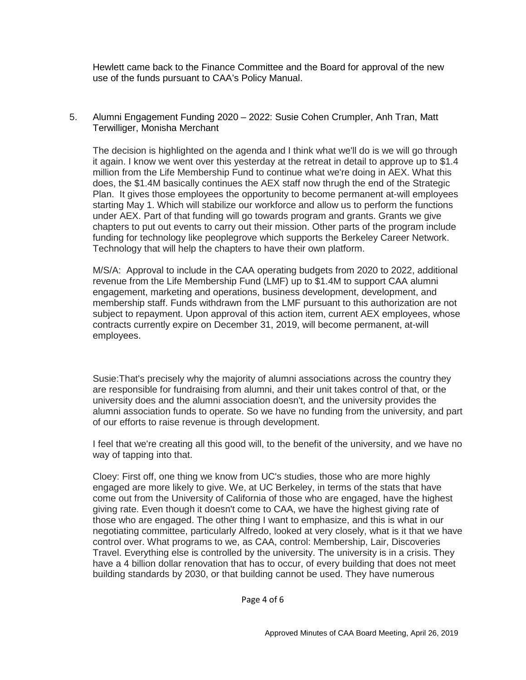Hewlett came back to the Finance Committee and the Board for approval of the new use of the funds pursuant to CAA's Policy Manual.

5. Alumni Engagement Funding 2020 – 2022: Susie Cohen Crumpler, Anh Tran, Matt Terwilliger, Monisha Merchant

The decision is highlighted on the agenda and I think what we'll do is we will go through it again. I know we went over this yesterday at the retreat in detail to approve up to \$1.4 million from the Life Membership Fund to continue what we're doing in AEX. What this does, the \$1.4M basically continues the AEX staff now thrugh the end of the Strategic Plan. It gives those employees the opportunity to become permanent at-will employees starting May 1. Which will stabilize our workforce and allow us to perform the functions under AEX. Part of that funding will go towards program and grants. Grants we give chapters to put out events to carry out their mission. Other parts of the program include funding for technology like peoplegrove which supports the Berkeley Career Network. Technology that will help the chapters to have their own platform.

M/S/A: Approval to include in the CAA operating budgets from 2020 to 2022, additional revenue from the Life Membership Fund (LMF) up to \$1.4M to support CAA alumni engagement, marketing and operations, business development, development, and membership staff. Funds withdrawn from the LMF pursuant to this authorization are not subject to repayment. Upon approval of this action item, current AEX employees, whose contracts currently expire on December 31, 2019, will become permanent, at-will employees.

Susie:That's precisely why the majority of alumni associations across the country they are responsible for fundraising from alumni, and their unit takes control of that, or the university does and the alumni association doesn't, and the university provides the alumni association funds to operate. So we have no funding from the university, and part of our efforts to raise revenue is through development.

I feel that we're creating all this good will, to the benefit of the university, and we have no way of tapping into that.

Cloey: First off, one thing we know from UC's studies, those who are more highly engaged are more likely to give. We, at UC Berkeley, in terms of the stats that have come out from the University of California of those who are engaged, have the highest giving rate. Even though it doesn't come to CAA, we have the highest giving rate of those who are engaged. The other thing I want to emphasize, and this is what in our negotiating committee, particularly Alfredo, looked at very closely, what is it that we have control over. What programs to we, as CAA, control: Membership, Lair, Discoveries Travel. Everything else is controlled by the university. The university is in a crisis. They have a 4 billion dollar renovation that has to occur, of every building that does not meet building standards by 2030, or that building cannot be used. They have numerous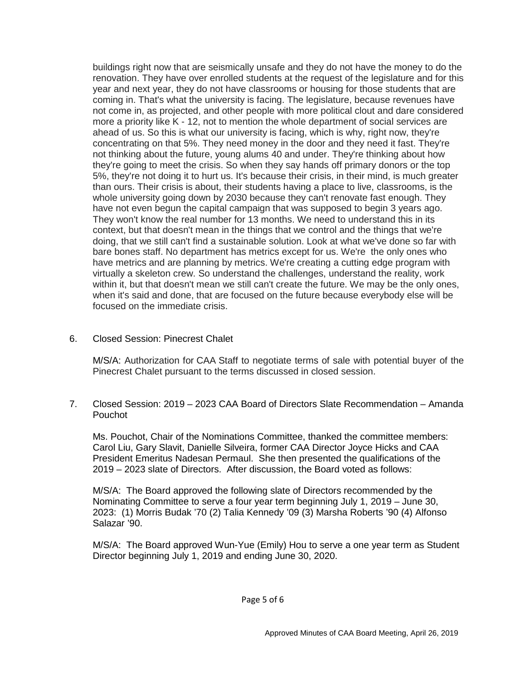buildings right now that are seismically unsafe and they do not have the money to do the renovation. They have over enrolled students at the request of the legislature and for this year and next year, they do not have classrooms or housing for those students that are coming in. That's what the university is facing. The legislature, because revenues have not come in, as projected, and other people with more political clout and dare considered more a priority like K - 12, not to mention the whole department of social services are ahead of us. So this is what our university is facing, which is why, right now, they're concentrating on that 5%. They need money in the door and they need it fast. They're not thinking about the future, young alums 40 and under. They're thinking about how they're going to meet the crisis. So when they say hands off primary donors or the top 5%, they're not doing it to hurt us. It's because their crisis, in their mind, is much greater than ours. Their crisis is about, their students having a place to live, classrooms, is the whole university going down by 2030 because they can't renovate fast enough. They have not even begun the capital campaign that was supposed to begin 3 years ago. They won't know the real number for 13 months. We need to understand this in its context, but that doesn't mean in the things that we control and the things that we're doing, that we still can't find a sustainable solution. Look at what we've done so far with bare bones staff. No department has metrics except for us. We're the only ones who have metrics and are planning by metrics. We're creating a cutting edge program with virtually a skeleton crew. So understand the challenges, understand the reality, work within it, but that doesn't mean we still can't create the future. We may be the only ones, when it's said and done, that are focused on the future because everybody else will be focused on the immediate crisis.

6. Closed Session: Pinecrest Chalet

M/S/A: Authorization for CAA Staff to negotiate terms of sale with potential buyer of the Pinecrest Chalet pursuant to the terms discussed in closed session.

7. Closed Session: 2019 – 2023 CAA Board of Directors Slate Recommendation – Amanda Pouchot

Ms. Pouchot, Chair of the Nominations Committee, thanked the committee members: Carol Liu, Gary Slavit, Danielle Silveira, former CAA Director Joyce Hicks and CAA President Emeritus Nadesan Permaul. She then presented the qualifications of the 2019 – 2023 slate of Directors. After discussion, the Board voted as follows:

M/S/A: The Board approved the following slate of Directors recommended by the Nominating Committee to serve a four year term beginning July 1, 2019 – June 30, 2023: (1) Morris Budak '70 (2) Talia Kennedy '09 (3) Marsha Roberts '90 (4) Alfonso Salazar '90.

M/S/A: The Board approved Wun-Yue (Emily) Hou to serve a one year term as Student Director beginning July 1, 2019 and ending June 30, 2020.

Page 5 of 6